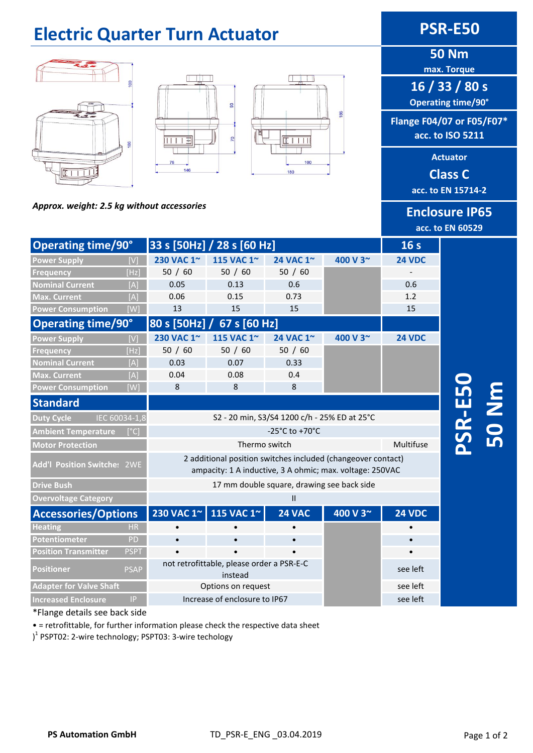#### **Electric Quarter Turn Actuator <b>PSR-E50 50 Nm max. Torque 16 / 33 / 80 s Operating time/90°** 93 **Flange F04/07 or F05/F07\* acc. to ISO 5211**  $\overline{2}$ **Actuator**  146 180 **Class C acc. to EN 15714-2** *Approx. weight: 2.5 kg without accessories* **Enclosure IP65**

**acc. to EN 60529**

**16 s**

**PSR-E50** 

**50 Nm**

| <b>Operating time/90°</b>          |             | 33 s [50Hz] / 28 s [60 Hz]                                                                                               |            |               |          | 16 <sub>s</sub> |
|------------------------------------|-------------|--------------------------------------------------------------------------------------------------------------------------|------------|---------------|----------|-----------------|
| <b>Power Supply</b>                |             | 230 VAC 1~                                                                                                               | 115 VAC 1~ | 24 VAC 1~     | 400 V 3~ | <b>24 VDC</b>   |
| <b>Frequency</b>                   | [Hz]        | 50 / 60                                                                                                                  | 50 / 60    | 50 / 60       |          |                 |
| <b>Nominal Current</b>             | [A]         | 0.05                                                                                                                     | 0.13       | 0.6           |          | 0.6             |
| <b>Max. Current</b>                | [A]         | 0.06                                                                                                                     | 0.15       | 0.73          |          | 1.2             |
| <b>Power Consumption</b>           | [W]         | 13                                                                                                                       | 15         | 15            |          | 15              |
| <b>Operating time/90°</b>          |             | 80 s [50Hz]<br>67 s [60 Hz]                                                                                              |            |               |          |                 |
| <b>Power Supply</b>                | [V]         | 230 VAC 1~                                                                                                               | 115 VAC 1~ | 24 VAC 1~     | 400 V 3~ | <b>24 VDC</b>   |
| <b>Frequency</b>                   | [Hz]        | 50 / 60                                                                                                                  | 50 / 60    | 50 / 60       |          |                 |
| <b>Nominal Current</b>             | [A]         | 0.03                                                                                                                     | 0.07       | 0.33          |          |                 |
| <b>Max. Current</b>                | [A]         | 0.04                                                                                                                     | 0.08       | 0.4           |          |                 |
| <b>Power Consumption</b>           | [W]         | 8                                                                                                                        | 8          | 8             |          |                 |
| <b>Standard</b>                    |             |                                                                                                                          |            |               |          |                 |
| IEC 60034-1,8<br><b>Duty Cycle</b> |             | S2 - 20 min, S3/S4 1200 c/h - 25% ED at 25°C                                                                             |            |               |          |                 |
| <b>Ambient Temperature</b>         | [°C]        | $-25^{\circ}$ C to $+70^{\circ}$ C                                                                                       |            |               |          |                 |
| <b>Motor Protection</b>            |             | Thermo switch                                                                                                            |            |               |          | Multifuse       |
| <b>Add'l Position Switches 2WE</b> |             | 2 additional position switches included (changeover contact)<br>ampacity: 1 A inductive, 3 A ohmic; max. voltage: 250VAC |            |               |          |                 |
| <b>Drive Bush</b>                  |             | 17 mm double square, drawing see back side                                                                               |            |               |          |                 |
| <b>Overvoltage Category</b>        |             | $\mathbf{H}$                                                                                                             |            |               |          |                 |
| <b>Accessories/Options</b>         |             | 230 VAC 1~                                                                                                               | 115 VAC 1~ | <b>24 VAC</b> | 400 V 3~ | <b>24 VDC</b>   |
| <b>Heating</b>                     | <b>HR</b>   | $\bullet$                                                                                                                |            |               |          |                 |
| <b>Potentiometer</b>               | PD          | $\bullet$                                                                                                                |            |               |          |                 |
| <b>Position Transmitter</b>        | <b>PSPT</b> |                                                                                                                          |            |               |          |                 |
| <b>Positioner</b>                  | <b>PSAP</b> | not retrofittable, please order a PSR-E-C<br>instead                                                                     |            |               |          | see left        |
| <b>Adapter for Valve Shaft</b>     |             | Options on request                                                                                                       |            |               |          | see left        |
| <b>Increased Enclosure</b>         | P           | Increase of enclosure to IP67                                                                                            |            |               |          | see left        |

#### \*Flange details see back side

• = retrofittable, for further information please check the respective data sheet

)<sup>1</sup> PSPT02: 2-wire technology; PSPT03: 3-wire techology